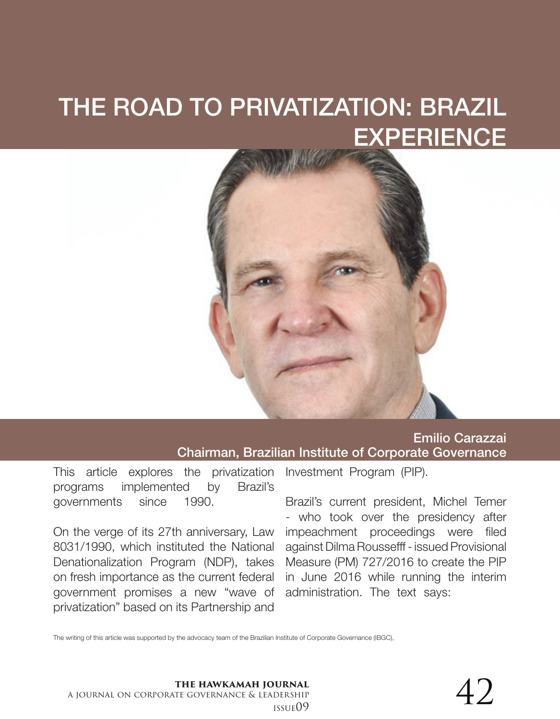## THE ROAD TO PRIVATIZATION: BRAZIL **EXPERIENCE**



Emilio Carazzai Chairman, Brazilian Institute of Corporate Governance

This article explores the privatization programs implemented by Brazil's governments since 1990.

On the verge of its 27th anniversary, Law 8031/1990, which instituted the National Denationalization Program (NDP), takes on fresh importance as the current federal government promises a new "wave of privatization" based on its Partnership and

Investment Program (PIP).

Brazil's current president, Michel Temer - who took over the presidency after impeachment proceedings were filed against Dilma Roussefff - issued Provisional Measure (PM) 727/2016 to create the PIP in June 2016 while running the interim administration. The text says:

The writing of this article was supported by the advocacy team of the Brazilian Institute of Corporate Governance (IBGC),

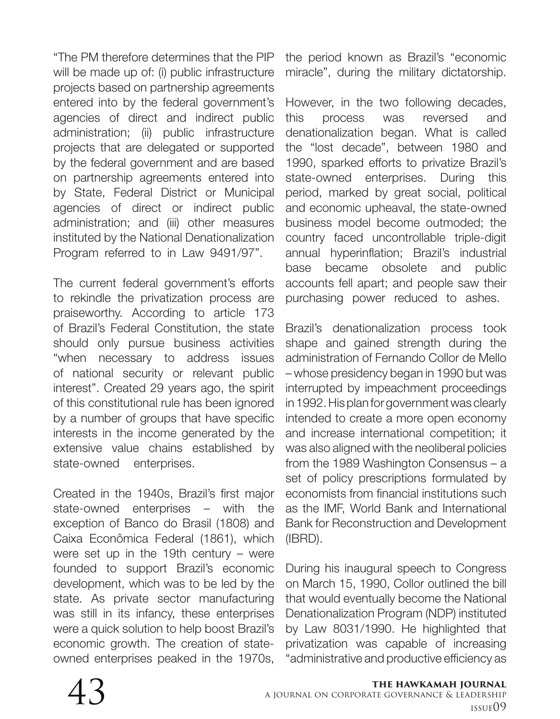"The PM therefore determines that the PIP will be made up of: (i) public infrastructure projects based on partnership agreements entered into by the federal government's agencies of direct and indirect public administration; (ii) public infrastructure projects that are delegated or supported by the federal government and are based on partnership agreements entered into by State, Federal District or Municipal agencies of direct or indirect public administration; and (iii) other measures instituted by the National Denationalization Program referred to in Law 9491/97".

The current federal government's efforts to rekindle the privatization process are praiseworthy. According to article 173 of Brazil's Federal Constitution, the state should only pursue business activities "when necessary to address issues of national security or relevant public interest". Created 29 years ago, the spirit of this constitutional rule has been ignored by a number of groups that have specific interests in the income generated by the extensive value chains established by state-owned enterprises.

Created in the 1940s, Brazil's first major state-owned enterprises – with the exception of Banco do Brasil (1808) and Caixa Econômica Federal (1861), which were set up in the 19th century – were founded to support Brazil's economic development, which was to be led by the state. As private sector manufacturing was still in its infancy, these enterprises were a quick solution to help boost Brazil's economic growth. The creation of stateowned enterprises peaked in the 1970s,

the period known as Brazil's "economic miracle", during the military dictatorship.

However, in the two following decades, this process was reversed and denationalization began. What is called the "lost decade", between 1980 and 1990, sparked efforts to privatize Brazil's state-owned enterprises. During this period, marked by great social, political and economic upheaval, the state-owned business model become outmoded; the country faced uncontrollable triple-digit annual hyperinflation; Brazil's industrial base became obsolete and public accounts fell apart; and people saw their purchasing power reduced to ashes.

Brazil's denationalization process took shape and gained strength during the administration of Fernando Collor de Mello – whose presidency began in 1990 but was interrupted by impeachment proceedings in 1992. His plan for government was clearly intended to create a more open economy and increase international competition; it was also aligned with the neoliberal policies from the 1989 Washington Consensus – a set of policy prescriptions formulated by economists from financial institutions such as the IMF, World Bank and International Bank for Reconstruction and Development (IBRD).

During his inaugural speech to Congress on March 15, 1990, Collor outlined the bill that would eventually become the National Denationalization Program (NDP) instituted by Law 8031/1990. He highlighted that privatization was capable of increasing "administrative and productive efficiency as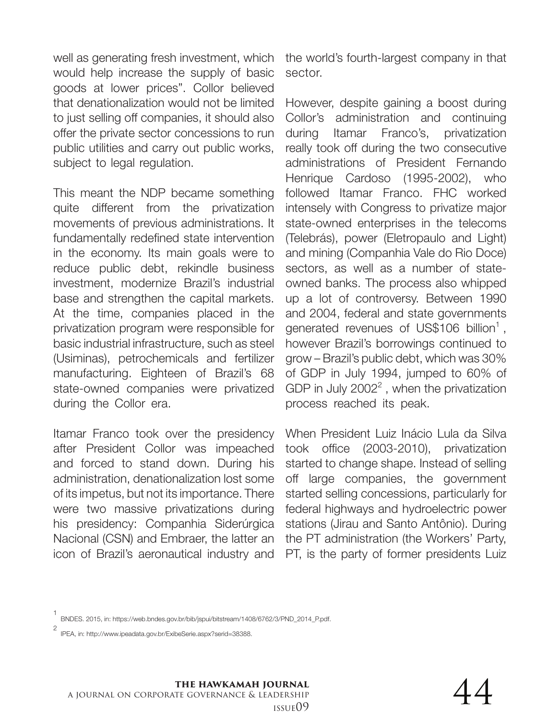well as generating fresh investment, which would help increase the supply of basic goods at lower prices". Collor believed that denationalization would not be limited to just selling off companies, it should also offer the private sector concessions to run public utilities and carry out public works, subject to legal regulation.

This meant the NDP became something quite different from the privatization movements of previous administrations. It fundamentally redefined state intervention in the economy. Its main goals were to reduce public debt, rekindle business investment, modernize Brazil's industrial base and strengthen the capital markets. At the time, companies placed in the privatization program were responsible for basic industrial infrastructure, such as steel (Usiminas), petrochemicals and fertilizer manufacturing. Eighteen of Brazil's 68 state-owned companies were privatized during the Collor era.

Itamar Franco took over the presidency after President Collor was impeached and forced to stand down. During his administration, denationalization lost some of its impetus, but not its importance. There were two massive privatizations during his presidency: Companhia Siderúrgica Nacional (CSN) and Embraer, the latter an icon of Brazil's aeronautical industry and

the world's fourth-largest company in that sector.

However, despite gaining a boost during Collor's administration and continuing during Itamar Franco's, privatization really took off during the two consecutive administrations of President Fernando Henrique Cardoso (1995-2002), who followed Itamar Franco. FHC worked intensely with Congress to privatize major state-owned enterprises in the telecoms (Telebrás), power (Eletropaulo and Light) and mining (Companhia Vale do Rio Doce) sectors, as well as a number of stateowned banks. The process also whipped up a lot of controversy. Between 1990 and 2004, federal and state governments generated revenues of US\$106 billion<sup>1</sup>, however Brazil's borrowings continued to grow – Brazil's public debt, which was 30% of GDP in July 1994, jumped to 60% of GDP in July  $2002<sup>2</sup>$ , when the privatization process reached its peak.

When President Luiz Inácio Lula da Silva took office (2003-2010), privatization started to change shape. Instead of selling off large companies, the government started selling concessions, particularly for federal highways and hydroelectric power stations (Jirau and Santo Antônio). During the PT administration (the Workers' Party, PT, is the party of former presidents Luiz

<sup>1</sup> BNDES. 2015, in: https://web.bndes.gov.br/bib/jspui/bitstream/1408/6762/3/PND\_2014\_P.pdf.

<sup>2</sup> IPEA, in: http://www.ipeadata.gov.br/ExibeSerie.aspx?serid=38388.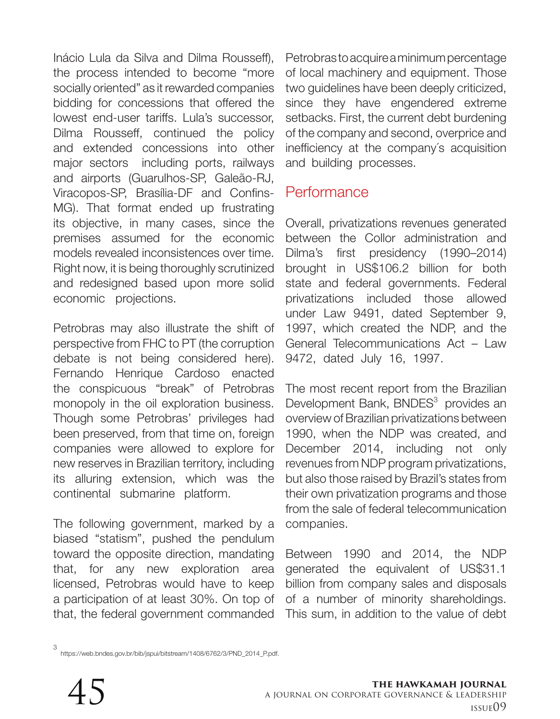Inácio Lula da Silva and Dilma Rousseff), the process intended to become "more socially oriented" as it rewarded companies bidding for concessions that offered the lowest end-user tariffs. Lula's successor, Dilma Rousseff, continued the policy and extended concessions into other major sectors including ports, railways and airports (Guarulhos-SP, Galeão-RJ, Viracopos-SP, Brasília-DF and Confins-MG). That format ended up frustrating its objective, in many cases, since the premises assumed for the economic models revealed inconsistences over time. Right now, it is being thoroughly scrutinized and redesigned based upon more solid economic projections.

Petrobras may also illustrate the shift of perspective from FHC to PT (the corruption debate is not being considered here). Fernando Henrique Cardoso enacted the conspicuous "break" of Petrobras monopoly in the oil exploration business. Though some Petrobras' privileges had been preserved, from that time on, foreign companies were allowed to explore for new reserves in Brazilian territory, including its alluring extension, which was the continental submarine platform.

The following government, marked by a biased "statism", pushed the pendulum toward the opposite direction, mandating that, for any new exploration area licensed, Petrobras would have to keep a participation of at least 30%. On top of that, the federal government commanded

Petrobras to acquire a minimum percentage of local machinery and equipment. Those two guidelines have been deeply criticized, since they have engendered extreme setbacks. First, the current debt burdening of the company and second, overprice and inefficiency at the company´s acquisition and building processes.

## **Performance**

Overall, privatizations revenues generated between the Collor administration and Dilma's first presidency (1990–2014) brought in US\$106.2 billion for both state and federal governments. Federal privatizations included those allowed under Law 9491, dated September 9, 1997, which created the NDP, and the General Telecommunications Act – Law 9472, dated July 16, 1997.

The most recent report from the Brazilian Development Bank, BNDES<sup>3</sup> provides an overview of Brazilian privatizations between 1990, when the NDP was created, and December 2014, including not only revenues from NDP program privatizations, but also those raised by Brazil's states from their own privatization programs and those from the sale of federal telecommunication companies.

Between 1990 and 2014, the NDP generated the equivalent of US\$31.1 billion from company sales and disposals of a number of minority shareholdings. This sum, in addition to the value of debt

<sup>3</sup> https://web.bndes.gov.br/bib/jspui/bitstream/1408/6762/3/PND\_2014\_P.pdf.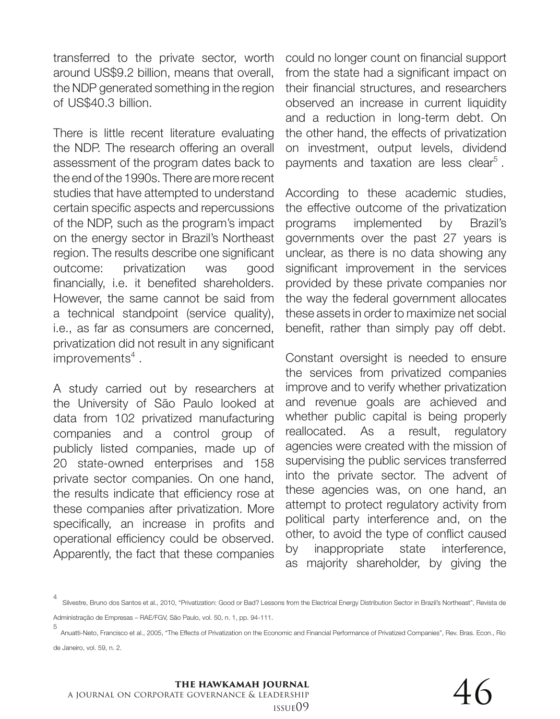transferred to the private sector, worth around US\$9.2 billion, means that overall, the NDP generated something in the region of US\$40.3 billion.

There is little recent literature evaluating the NDP. The research offering an overall assessment of the program dates back to the end of the 1990s. There are more recent studies that have attempted to understand certain specific aspects and repercussions of the NDP, such as the program's impact on the energy sector in Brazil's Northeast region. The results describe one significant outcome: privatization was good financially, i.e. it benefited shareholders. However, the same cannot be said from a technical standpoint (service quality), i.e., as far as consumers are concerned, privatization did not result in any significant  $improvements<sup>4</sup>$ .

A study carried out by researchers at the University of São Paulo looked at data from 102 privatized manufacturing companies and a control group of publicly listed companies, made up of 20 state-owned enterprises and 158 private sector companies. On one hand, the results indicate that efficiency rose at these companies after privatization. More specifically, an increase in profits and operational efficiency could be observed. Apparently, the fact that these companies

could no longer count on financial support from the state had a significant impact on their financial structures, and researchers observed an increase in current liquidity and a reduction in long-term debt. On the other hand, the effects of privatization on investment, output levels, dividend payments and taxation are less clear<sup>5</sup>.

According to these academic studies, the effective outcome of the privatization programs implemented by Brazil's governments over the past 27 years is unclear, as there is no data showing any significant improvement in the services provided by these private companies nor the way the federal government allocates these assets in order to maximize net social benefit, rather than simply pay off debt.

Constant oversight is needed to ensure the services from privatized companies improve and to verify whether privatization and revenue goals are achieved and whether public capital is being properly reallocated. As a result, regulatory agencies were created with the mission of supervising the public services transferred into the private sector. The advent of these agencies was, on one hand, an attempt to protect regulatory activity from political party interference and, on the other, to avoid the type of conflict caused by inappropriate state interference, as majority shareholder, by giving the



<sup>4</sup> Silvestre, Bruno dos Santos et al., 2010, "Privatization: Good or Bad? Lessons from the Electrical Energy Distribution Sector in Brazil's Northeast", Revista de

Administração de Empresas – RAE/FGV, São Paulo, vol. 50, n. 1, pp. 94-111.

<sup>5</sup> Anuatti-Neto, Francisco et al., 2005, "The Effects of Privatization on the Economic and Financial Performance of Privatized Companies", Rev. Bras. Econ., Rio de Janeiro, vol. 59, n. 2.